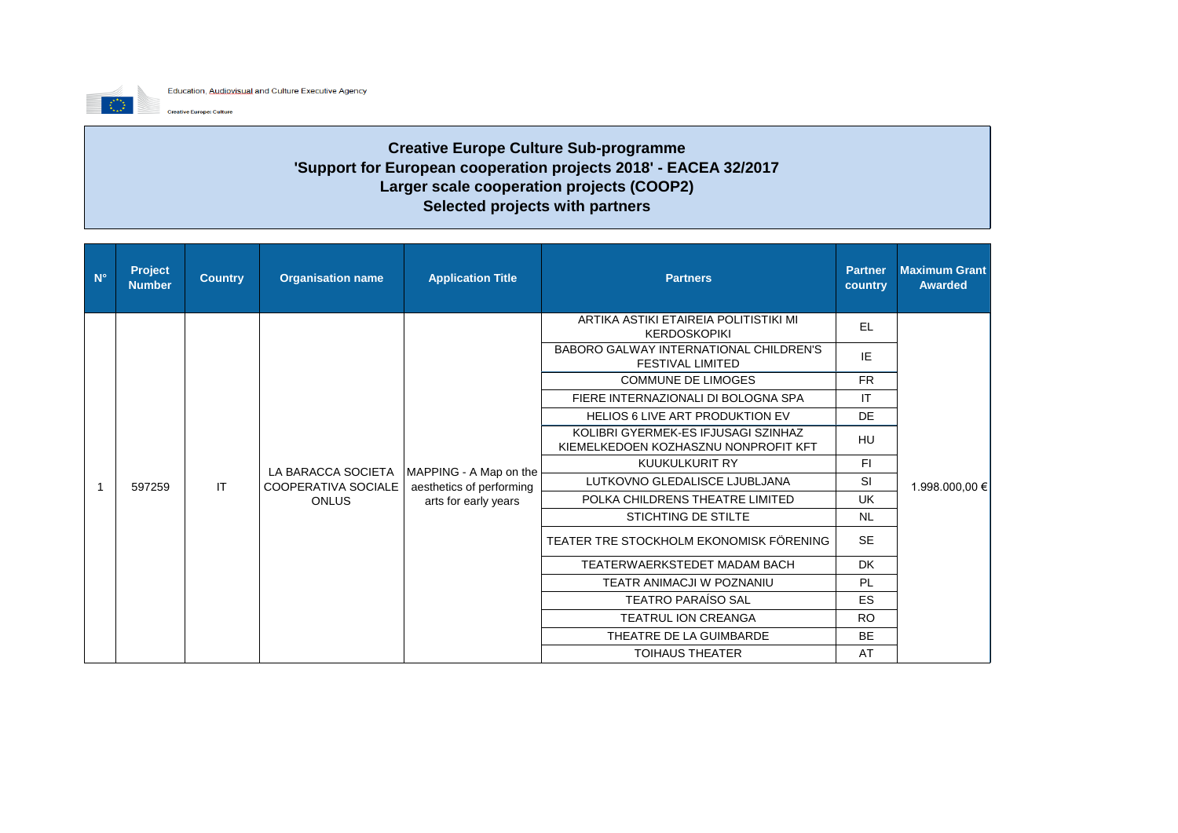

**Creative Europe: Culture** 

**Creative Europe Culture Sub-programme 'Support for European cooperation projects 2018' - EACEA 32/2017 Larger scale cooperation projects (COOP2) Selected projects with partners** 

| $N^{\circ}$ | <b>Project</b><br><b>Number</b> | <b>Country</b> | <b>Organisation name</b>                                  | <b>Application Title</b>                           | <b>Partners</b>                                                             | <b>Partner</b><br>country                 | <b>Maximum Grant</b><br><b>Awarded</b>         |
|-------------|---------------------------------|----------------|-----------------------------------------------------------|----------------------------------------------------|-----------------------------------------------------------------------------|-------------------------------------------|------------------------------------------------|
|             |                                 |                |                                                           |                                                    | ARTIKA ASTIKI ETAIREIA POLITISTIKI MI<br><b>KERDOSKOPIKI</b>                | EL                                        |                                                |
|             |                                 |                |                                                           |                                                    | BABORO GALWAY INTERNATIONAL CHILDREN'S<br><b>FESTIVAL LIMITED</b>           | IE                                        |                                                |
|             |                                 |                |                                                           |                                                    | <b>COMMUNE DE LIMOGES</b>                                                   | <b>FR</b><br>IT<br><b>DE</b><br><b>HU</b> |                                                |
|             |                                 |                |                                                           |                                                    | FIERE INTERNAZIONALI DI BOLOGNA SPA                                         |                                           | F1<br><b>SI</b><br>1.998.000,00 €<br><b>UK</b> |
|             |                                 |                |                                                           |                                                    | <b>HELIOS 6 LIVE ART PRODUKTION EV</b>                                      |                                           |                                                |
|             | 597259                          |                | LA BARACCA SOCIETA<br>COOPERATIVA SOCIALE<br><b>ONLUS</b> | MAPPING - A Map on the<br>aesthetics of performing | KOLIBRI GYERMEK-ES IFJUSAGI SZINHAZ<br>KIEMELKEDOEN KOZHASZNU NONPROFIT KFT |                                           |                                                |
|             |                                 | <b>IT</b>      |                                                           |                                                    | KUUKULKURIT RY                                                              |                                           |                                                |
|             |                                 |                |                                                           |                                                    | LUTKOVNO GLEDALISCE LJUBLJANA                                               |                                           |                                                |
|             |                                 |                |                                                           | arts for early years                               | POLKA CHILDRENS THEATRE LIMITED                                             |                                           |                                                |
|             |                                 |                |                                                           |                                                    | STICHTING DE STILTE                                                         | <b>NL</b>                                 |                                                |
|             |                                 |                |                                                           |                                                    | TEATER TRE STOCKHOLM EKONOMISK FÖRENING                                     | <b>SE</b>                                 |                                                |
|             |                                 |                |                                                           |                                                    | TEATERWAERKSTEDET MADAM BACH                                                | <b>DK</b>                                 |                                                |
|             |                                 |                |                                                           |                                                    | TEATR ANIMACJI W POZNANIU                                                   | PL                                        |                                                |
|             |                                 |                |                                                           |                                                    | <b>TEATRO PARAÍSO SAL</b>                                                   | ES.                                       |                                                |
|             |                                 |                |                                                           |                                                    | <b>TEATRUL ION CREANGA</b>                                                  | <b>RO</b>                                 |                                                |
|             |                                 |                |                                                           |                                                    | THEATRE DE LA GUIMBARDE                                                     | <b>BE</b>                                 |                                                |
|             |                                 |                |                                                           |                                                    | <b>TOIHAUS THEATER</b>                                                      | AT                                        |                                                |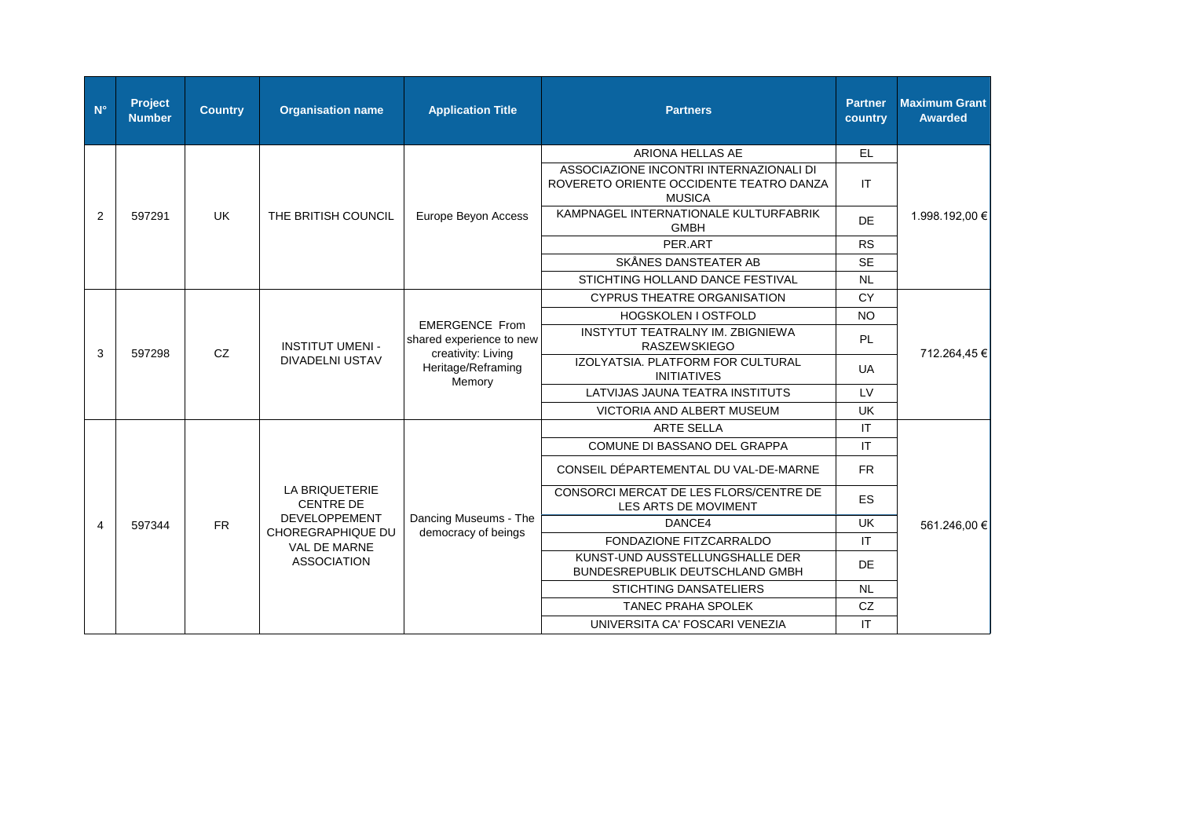| $N^{\circ}$ | Project<br><b>Number</b> | <b>Country</b> | <b>Organisation name</b>                          | <b>Application Title</b>                                                                                | <b>Partners</b>                                                                                     | <b>Partner</b><br>country | <b>Maximum Grant</b><br><b>Awarded</b> |
|-------------|--------------------------|----------------|---------------------------------------------------|---------------------------------------------------------------------------------------------------------|-----------------------------------------------------------------------------------------------------|---------------------------|----------------------------------------|
|             |                          |                |                                                   |                                                                                                         | ARIONA HELLAS AE                                                                                    | EL.                       |                                        |
|             | 597291                   |                |                                                   |                                                                                                         | ASSOCIAZIONE INCONTRI INTERNAZIONALI DI<br>ROVERETO ORIENTE OCCIDENTE TEATRO DANZA<br><b>MUSICA</b> | IT                        |                                        |
| 2           |                          | UK             | THE BRITISH COUNCIL                               | Europe Beyon Access                                                                                     | KAMPNAGEL INTERNATIONALE KULTURFABRIK<br><b>GMBH</b>                                                | <b>DE</b>                 | 1.998.192,00 €                         |
|             |                          |                |                                                   |                                                                                                         | PER.ART                                                                                             | <b>RS</b>                 |                                        |
|             |                          |                |                                                   |                                                                                                         | SKÅNES DANSTEATER AB                                                                                | <b>SE</b>                 |                                        |
|             |                          |                |                                                   |                                                                                                         | STICHTING HOLLAND DANCE FESTIVAL                                                                    | <b>NL</b>                 |                                        |
|             | CZ<br>597298             |                | <b>INSTITUT UMENI -</b><br><b>DIVADELNI USTAV</b> | <b>EMERGENCE From</b><br>shared experience to new<br>creativity: Living<br>Heritage/Reframing<br>Memory | <b>CYPRUS THEATRE ORGANISATION</b>                                                                  | <b>CY</b>                 | 712.264,45 €                           |
|             |                          |                |                                                   |                                                                                                         | HOGSKOLEN I OSTFOLD                                                                                 | <b>NO</b>                 |                                        |
| 3           |                          |                |                                                   |                                                                                                         | INSTYTUT TEATRALNY IM. ZBIGNIEWA<br><b>RASZEWSKIEGO</b>                                             | <b>PL</b>                 |                                        |
|             |                          |                |                                                   |                                                                                                         | IZOLYATSIA. PLATFORM FOR CULTURAL<br><b>INITIATIVES</b>                                             | <b>UA</b>                 |                                        |
|             |                          |                |                                                   |                                                                                                         | LATVIJAS JAUNA TEATRA INSTITUTS                                                                     | LV                        |                                        |
|             |                          |                |                                                   |                                                                                                         | VICTORIA AND ALBERT MUSEUM                                                                          | <b>UK</b>                 |                                        |
|             |                          |                |                                                   |                                                                                                         | <b>ARTE SELLA</b>                                                                                   | IT                        | 561.246,00 €                           |
|             |                          |                |                                                   |                                                                                                         | COMUNE DI BASSANO DEL GRAPPA                                                                        | $\mathsf{I}\mathsf{T}$    |                                        |
|             |                          |                |                                                   |                                                                                                         | CONSEIL DÉPARTEMENTAL DU VAL-DE-MARNE                                                               | <b>FR</b>                 |                                        |
|             |                          |                | LA BRIQUETERIE<br><b>CENTRE DE</b>                |                                                                                                         | CONSORCI MERCAT DE LES FLORS/CENTRE DE<br>LES ARTS DE MOVIMENT                                      | <b>ES</b>                 |                                        |
| 4           | 597344                   | <b>FR</b>      | <b>DEVELOPPEMENT</b><br>CHOREGRAPHIQUE DU         | Dancing Museums - The                                                                                   | DANCE4                                                                                              | <b>UK</b>                 |                                        |
|             |                          |                | <b>VAL DE MARNE</b>                               | democracy of beings                                                                                     | FONDAZIONE FITZCARRALDO                                                                             | IT                        |                                        |
|             |                          |                | <b>ASSOCIATION</b>                                |                                                                                                         | KUNST-UND AUSSTELLUNGSHALLE DER<br>BUNDESREPUBLIK DEUTSCHLAND GMBH                                  | <b>DE</b>                 |                                        |
|             |                          |                |                                                   |                                                                                                         | <b>STICHTING DANSATELIERS</b>                                                                       | <b>NL</b>                 |                                        |
|             |                          |                |                                                   |                                                                                                         | <b>TANEC PRAHA SPOLEK</b>                                                                           | CZ                        |                                        |
|             |                          |                |                                                   |                                                                                                         | UNIVERSITA CA' FOSCARI VENEZIA                                                                      | IT                        |                                        |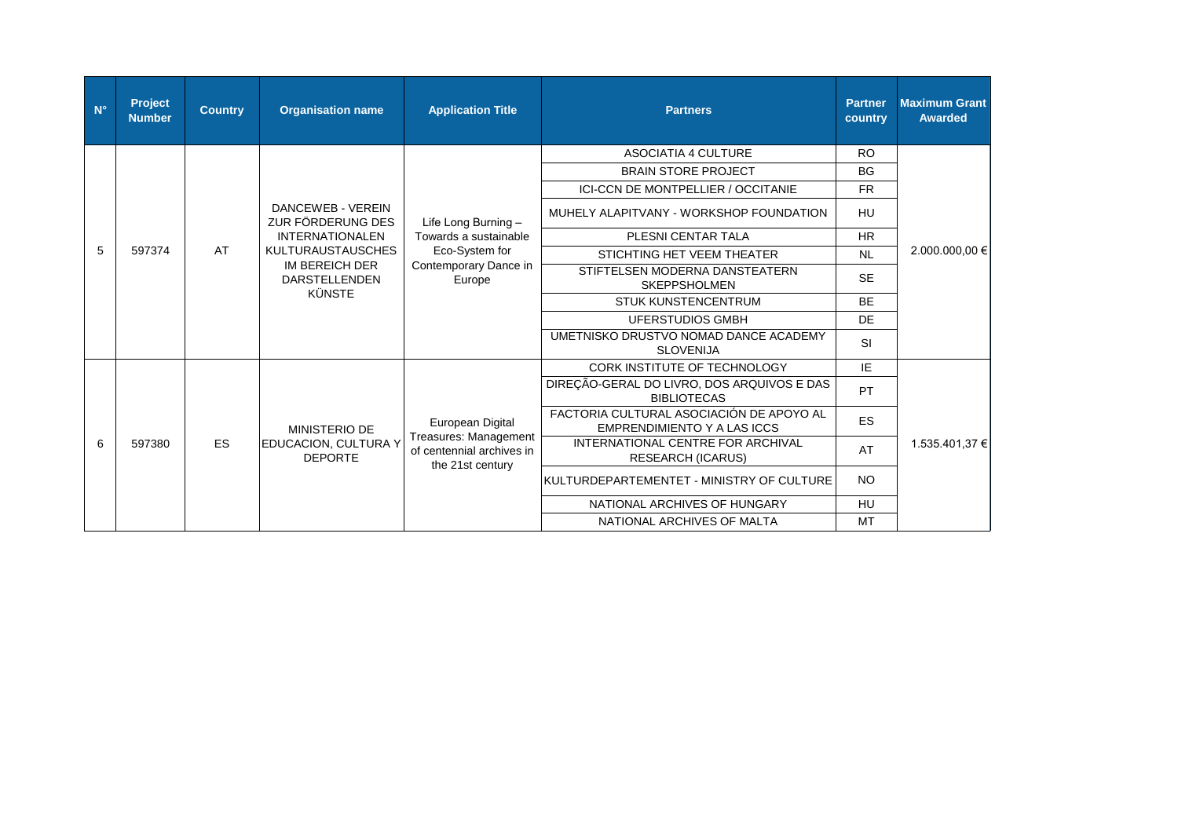| $N^{\circ}$ | Project<br><b>Number</b>                 | <b>Country</b>                                                                 | <b>Organisation name</b>                                                                   | <b>Application Title</b>                                                                          | <b>Partners</b>                                                  | <b>Partner</b><br>country  | <b>Maximum Grant</b><br><b>Awarded</b> |  |
|-------------|------------------------------------------|--------------------------------------------------------------------------------|--------------------------------------------------------------------------------------------|---------------------------------------------------------------------------------------------------|------------------------------------------------------------------|----------------------------|----------------------------------------|--|
|             |                                          |                                                                                |                                                                                            |                                                                                                   | <b>ASOCIATIA 4 CULTURE</b>                                       | <b>RO</b>                  |                                        |  |
|             |                                          |                                                                                |                                                                                            |                                                                                                   | <b>BRAIN STORE PROJECT</b>                                       | <b>BG</b>                  |                                        |  |
|             |                                          |                                                                                |                                                                                            |                                                                                                   | <b>ICI-CCN DE MONTPELLIER / OCCITANIE</b>                        | <b>FR</b>                  | 2.000.000,00 €<br>1.535.401.37 €       |  |
|             |                                          |                                                                                | DANCEWEB - VEREIN<br>ZUR FÖRDERUNG DES                                                     | Life Long Burning -<br>Towards a sustainable<br>Eco-System for<br>Contemporary Dance in<br>Europe | MUHELY ALAPITVANY - WORKSHOP FOUNDATION                          | HU                         |                                        |  |
|             |                                          |                                                                                | <b>INTERNATIONALEN</b>                                                                     |                                                                                                   | PLESNI CENTAR TALA                                               | <b>HR</b>                  |                                        |  |
| 5           | 597374                                   | AT                                                                             | <b>KULTURAUSTAUSCHES</b><br><b>IM BEREICH DER</b><br><b>DARSTELLENDEN</b><br><b>KÜNSTE</b> |                                                                                                   | STICHTING HET VEEM THEATER                                       | <b>NL</b>                  |                                        |  |
|             |                                          |                                                                                |                                                                                            |                                                                                                   | STIFTELSEN MODERNA DANSTEATERN<br><b>SKEPPSHOLMEN</b>            | <b>SE</b>                  |                                        |  |
|             |                                          |                                                                                |                                                                                            |                                                                                                   | <b>STUK KUNSTENCENTRUM</b>                                       | <b>BE</b>                  |                                        |  |
|             |                                          |                                                                                |                                                                                            |                                                                                                   | <b>UFERSTUDIOS GMBH</b>                                          | DE                         |                                        |  |
|             |                                          |                                                                                |                                                                                            |                                                                                                   | UMETNISKO DRUSTVO NOMAD DANCE ACADEMY<br><b>SLOVENIJA</b>        | <b>SI</b>                  |                                        |  |
|             |                                          |                                                                                |                                                                                            |                                                                                                   | CORK INSTITUTE OF TECHNOLOGY                                     | IE                         |                                        |  |
|             |                                          |                                                                                |                                                                                            |                                                                                                   | DIREÇÃO-GERAL DO LIVRO, DOS ARQUIVOS E DAS<br><b>BIBLIOTECAS</b> | <b>PT</b>                  |                                        |  |
|             | European Digital<br><b>MINISTERIO DE</b> | FACTORIA CULTURAL ASOCIACIÓN DE APOYO AL<br><b>EMPRENDIMIENTO Y A LAS ICCS</b> | <b>ES</b>                                                                                  |                                                                                                   |                                                                  |                            |                                        |  |
| 6           | 597380                                   | <b>ES</b>                                                                      | EDUCACION, CULTURA Y<br><b>DEPORTE</b>                                                     | Treasures: Management<br>of centennial archives in<br>the 21st century                            | INTERNATIONAL CENTRE FOR ARCHIVAL<br><b>RESEARCH (ICARUS)</b>    | AT                         |                                        |  |
|             |                                          |                                                                                |                                                                                            |                                                                                                   | KULTURDEPARTEMENTET - MINISTRY OF CULTURE                        | <b>NO</b>                  |                                        |  |
|             |                                          |                                                                                |                                                                                            |                                                                                                   | NATIONAL ARCHIVES OF HUNGARY                                     | HU                         |                                        |  |
|             |                                          |                                                                                |                                                                                            |                                                                                                   |                                                                  | NATIONAL ARCHIVES OF MALTA | <b>MT</b>                              |  |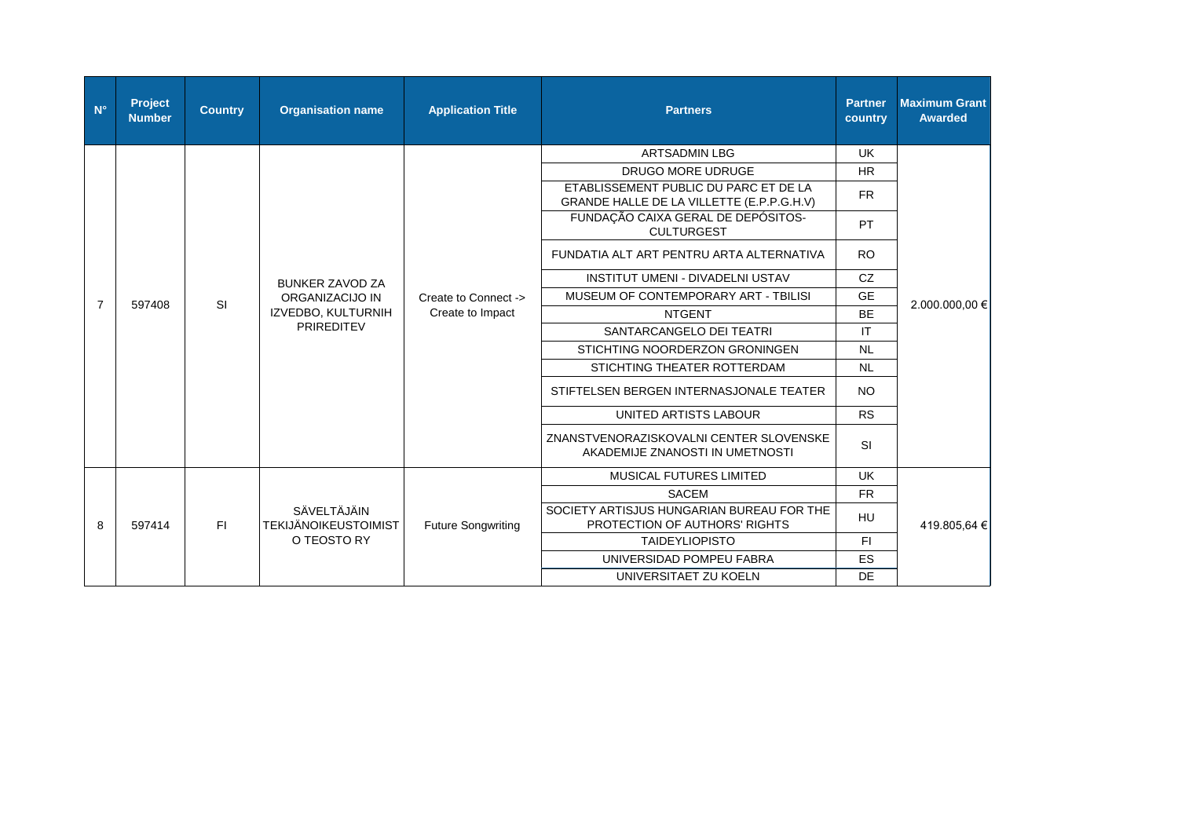| $N^{\circ}$    | Project<br><b>Number</b> | <b>Country</b>         | <b>Organisation name</b>                                   | <b>Application Title</b>                 | <b>Partners</b>                                                                    | <b>Partner</b><br>country | <b>Maximum Grant</b><br><b>Awarded</b> |
|----------------|--------------------------|------------------------|------------------------------------------------------------|------------------------------------------|------------------------------------------------------------------------------------|---------------------------|----------------------------------------|
|                |                          |                        |                                                            |                                          | <b>ARTSADMIN LBG</b>                                                               | <b>UK</b>                 |                                        |
|                |                          |                        |                                                            |                                          | <b>DRUGO MORE UDRUGE</b>                                                           | <b>HR</b>                 |                                        |
|                |                          |                        |                                                            |                                          | ETABLISSEMENT PUBLIC DU PARC ET DE LA<br>GRANDE HALLE DE LA VILLETTE (E.P.P.G.H.V) | <b>FR</b>                 | 2.000.000.00 €<br>419.805,64 €         |
|                |                          |                        |                                                            |                                          | FUNDAÇÃO CAIXA GERAL DE DEPÓSITOS-<br><b>CULTURGEST</b>                            | PT                        |                                        |
|                |                          |                        |                                                            |                                          | FUNDATIA ALT ART PENTRU ARTA ALTERNATIVA                                           | <b>RO</b>                 |                                        |
|                | SI<br>597408             | <b>BUNKER ZAVOD ZA</b> |                                                            | <b>INSTITUT UMENI - DIVADELNI USTAV</b>  | CZ                                                                                 |                           |                                        |
|                |                          |                        | ORGANIZACIJO IN<br>IZVEDBO, KULTURNIH<br><b>PRIREDITEV</b> | Create to Connect -><br>Create to Impact | MUSEUM OF CONTEMPORARY ART - TBILISI                                               | <b>GE</b>                 |                                        |
| $\overline{7}$ |                          |                        |                                                            |                                          | <b>NTGENT</b>                                                                      | <b>BE</b>                 |                                        |
|                |                          |                        |                                                            |                                          | SANTARCANGELO DEI TEATRI                                                           | IT                        |                                        |
|                |                          |                        |                                                            |                                          | STICHTING NOORDERZON GRONINGEN                                                     | <b>NL</b>                 |                                        |
|                |                          |                        |                                                            |                                          | STICHTING THEATER ROTTERDAM                                                        | <b>NL</b>                 |                                        |
|                |                          |                        |                                                            |                                          | STIFTELSEN BERGEN INTERNASJONALE TEATER                                            | <b>NO</b>                 |                                        |
|                |                          |                        |                                                            |                                          | UNITED ARTISTS LABOUR                                                              | <b>RS</b>                 |                                        |
|                |                          |                        |                                                            |                                          | ZNANSTVENORAZISKOVALNI CENTER SLOVENSKE<br>AKADEMIJE ZNANOSTI IN UMETNOSTI         | <b>SI</b>                 |                                        |
|                |                          |                        |                                                            |                                          | MUSICAL FUTURES LIMITED                                                            | <b>UK</b>                 |                                        |
|                |                          |                        |                                                            |                                          | <b>SACEM</b>                                                                       | <b>FR</b>                 |                                        |
| 8              | 597414                   | F1                     | SÄVELTÄJÄIN<br><b>TEKIJÄNOIKEUSTOIMIST</b>                 | <b>Future Songwriting</b>                | SOCIETY ARTISJUS HUNGARIAN BUREAU FOR THE<br>PROTECTION OF AUTHORS' RIGHTS         | HU                        |                                        |
|                |                          |                        | O TEOSTO RY                                                |                                          | <b>TAIDEYLIOPISTO</b>                                                              | F1                        |                                        |
|                |                          |                        |                                                            |                                          | UNIVERSIDAD POMPEU FABRA                                                           | <b>ES</b>                 |                                        |
|                |                          |                        |                                                            |                                          | UNIVERSITAET ZU KOELN                                                              | <b>DE</b>                 |                                        |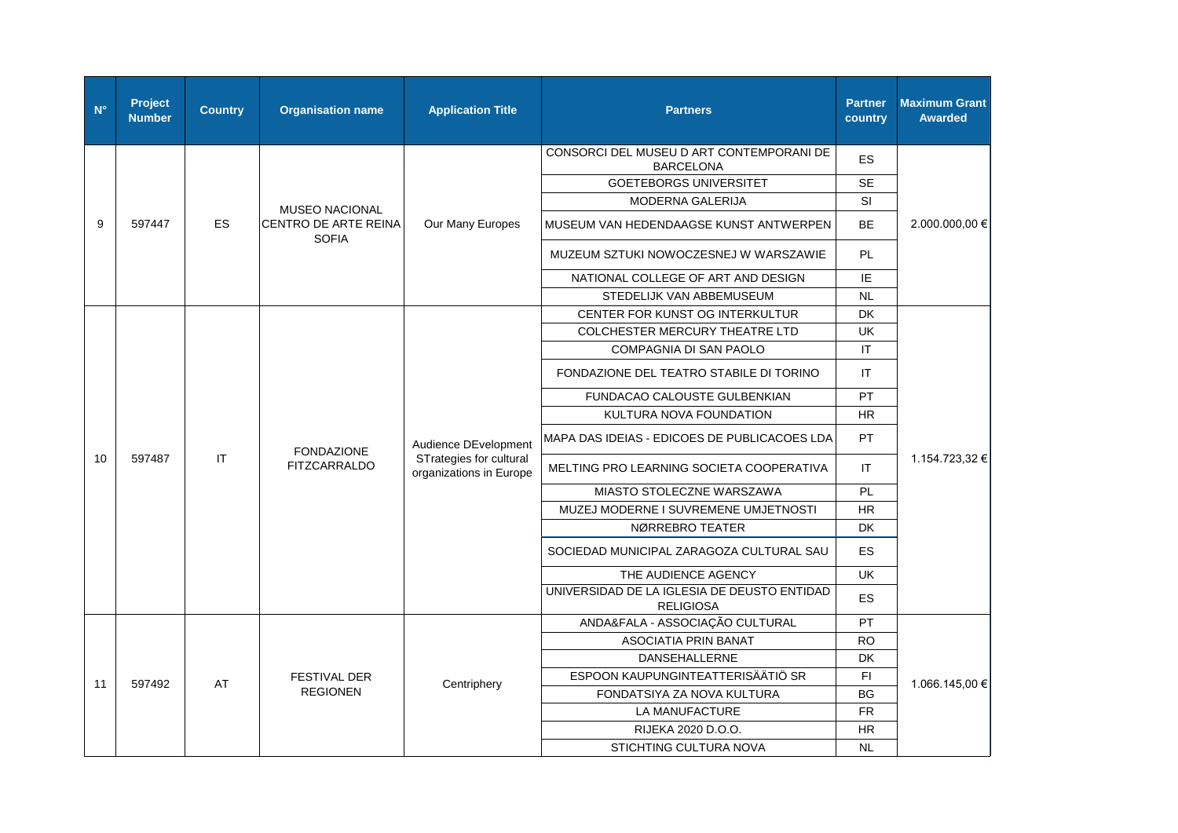| $N^{\circ}$ | <b>Project</b><br><b>Number</b> | <b>Country</b> | <b>Organisation name</b>                       | <b>Application Title</b>                                                   | <b>Partners</b>                                                 | <b>Partner</b><br>country | <b>Maximum Grant</b><br><b>Awarded</b> |
|-------------|---------------------------------|----------------|------------------------------------------------|----------------------------------------------------------------------------|-----------------------------------------------------------------|---------------------------|----------------------------------------|
|             |                                 |                |                                                |                                                                            | CONSORCI DEL MUSEU D ART CONTEMPORANI DE<br><b>BARCELONA</b>    | <b>ES</b>                 |                                        |
|             |                                 |                |                                                |                                                                            | <b>GOETEBORGS UNIVERSITET</b>                                   | <b>SE</b>                 |                                        |
|             |                                 |                | <b>MUSEO NACIONAL</b>                          |                                                                            | MODERNA GALERIJA                                                | SI                        |                                        |
| 9           | 597447                          | <b>ES</b>      | CENTRO DE ARTE REINA<br><b>SOFIA</b>           | Our Many Europes                                                           | MUSEUM VAN HEDENDAAGSE KUNST ANTWERPEN                          | <b>BE</b>                 | 2.000.000,00 €                         |
|             |                                 |                |                                                |                                                                            | MUZEUM SZTUKI NOWOCZESNEJ W WARSZAWIE                           | PL                        |                                        |
|             |                                 |                |                                                |                                                                            | NATIONAL COLLEGE OF ART AND DESIGN                              | IE                        |                                        |
|             |                                 |                |                                                |                                                                            | STEDELIJK VAN ABBEMUSEUM                                        | <b>NL</b>                 |                                        |
|             |                                 |                |                                                |                                                                            | CENTER FOR KUNST OG INTERKULTUR                                 | DK                        |                                        |
|             |                                 |                |                                                |                                                                            | COLCHESTER MERCURY THEATRE LTD                                  | UK                        | 1.154.723,32 €                         |
|             |                                 |                |                                                |                                                                            | COMPAGNIA DI SAN PAOLO                                          | $\mathsf{I}\mathsf{T}$    |                                        |
|             |                                 |                | <b>FONDAZIONE</b><br>IT<br><b>FITZCARRALDO</b> | Audience DEvelopment<br>STrategies for cultural<br>organizations in Europe | FONDAZIONE DEL TEATRO STABILE DI TORINO                         | <b>IT</b>                 |                                        |
|             |                                 |                |                                                |                                                                            | FUNDACAO CALOUSTE GULBENKIAN                                    | PT                        |                                        |
|             |                                 |                |                                                |                                                                            | KULTURA NOVA FOUNDATION                                         | <b>HR</b>                 |                                        |
|             | 597487                          |                |                                                |                                                                            | MAPA DAS IDEIAS - EDICOES DE PUBLICACOES LDA                    | PT                        |                                        |
| 10          |                                 |                |                                                |                                                                            | MELTING PRO LEARNING SOCIETA COOPERATIVA                        | IT                        |                                        |
|             |                                 |                |                                                |                                                                            | MIASTO STOLECZNE WARSZAWA                                       | PL                        |                                        |
|             |                                 |                |                                                |                                                                            | MUZEJ MODERNE I SUVREMENE UMJETNOSTI                            | <b>HR</b>                 |                                        |
|             |                                 |                |                                                |                                                                            | NØRREBRO TEATER                                                 | DK                        |                                        |
|             |                                 |                |                                                |                                                                            | SOCIEDAD MUNICIPAL ZARAGOZA CULTURAL SAU                        | <b>ES</b>                 |                                        |
|             |                                 |                |                                                |                                                                            | THE AUDIENCE AGENCY                                             | <b>UK</b>                 |                                        |
|             |                                 |                |                                                |                                                                            | UNIVERSIDAD DE LA IGLESIA DE DEUSTO ENTIDAD<br><b>RELIGIOSA</b> | ES                        |                                        |
|             |                                 |                |                                                |                                                                            | ANDA&FALA - ASSOCIAÇÃO CULTURAL                                 | PT                        |                                        |
|             |                                 |                |                                                |                                                                            | ASOCIATIA PRIN BANAT                                            | <b>RO</b>                 |                                        |
|             |                                 |                |                                                |                                                                            | DANSEHALLERNE                                                   | DK                        |                                        |
| 11          | 597492                          | AT             | <b>FESTIVAL DER</b>                            |                                                                            | ESPOON KAUPUNGINTEATTERISÄÄTIÖ SR                               | $\mathsf{F} \mathsf{I}$   |                                        |
|             |                                 |                | <b>REGIONEN</b>                                | Centriphery                                                                | FONDATSIYA ZA NOVA KULTURA                                      | <b>BG</b>                 | 1.066.145,00 €                         |
|             |                                 |                |                                                |                                                                            | LA MANUFACTURE                                                  | ${\sf FR}$                |                                        |
|             |                                 |                |                                                |                                                                            | RIJEKA 2020 D.O.O.                                              | <b>HR</b>                 |                                        |
|             |                                 |                |                                                |                                                                            | STICHTING CULTURA NOVA                                          | <b>NL</b>                 |                                        |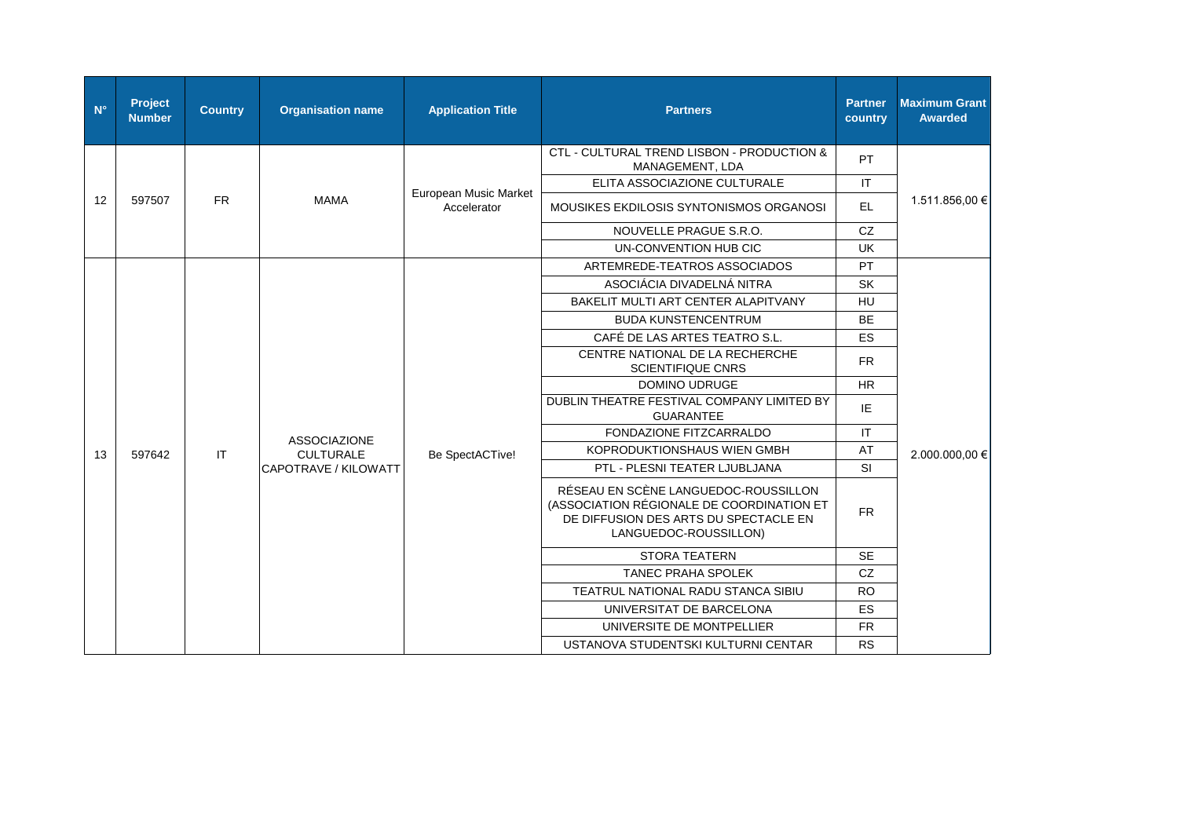| $N^{\circ}$ | Project<br><b>Number</b> | <b>Country</b> | <b>Organisation name</b>                | <b>Application Title</b>                                                                                                                            | <b>Partners</b>                                                | <b>Partner</b><br>country | <b>Maximum Grant</b><br>Awarded |
|-------------|--------------------------|----------------|-----------------------------------------|-----------------------------------------------------------------------------------------------------------------------------------------------------|----------------------------------------------------------------|---------------------------|---------------------------------|
|             |                          |                |                                         |                                                                                                                                                     | CTL - CULTURAL TREND LISBON - PRODUCTION &<br>MANAGEMENT, LDA  | PT                        |                                 |
|             |                          |                |                                         |                                                                                                                                                     | ELITA ASSOCIAZIONE CULTURALE                                   | IT                        |                                 |
| 12          | 597507                   | <b>FR</b>      | <b>MAMA</b>                             | European Music Market<br>Accelerator                                                                                                                | MOUSIKES EKDILOSIS SYNTONISMOS ORGANOSI                        | EL.                       | 1.511.856,00 €                  |
|             |                          |                |                                         |                                                                                                                                                     | NOUVELLE PRAGUE S.R.O.                                         | <b>CZ</b>                 |                                 |
|             |                          |                |                                         |                                                                                                                                                     | UN-CONVENTION HUB CIC                                          | <b>UK</b>                 |                                 |
|             |                          |                |                                         |                                                                                                                                                     | ARTEMREDE-TEATROS ASSOCIADOS                                   | PT                        |                                 |
|             |                          |                |                                         |                                                                                                                                                     | ASOCIÁCIA DIVADELNÁ NITRA                                      | <b>SK</b>                 | 2.000.000,00 €                  |
|             |                          |                |                                         |                                                                                                                                                     | BAKELIT MULTI ART CENTER ALAPITVANY                            | HU                        |                                 |
|             |                          |                |                                         | Be SpectACTive!                                                                                                                                     | <b>BUDA KUNSTENCENTRUM</b>                                     | <b>BE</b>                 |                                 |
|             |                          |                |                                         |                                                                                                                                                     | CAFÉ DE LAS ARTES TEATRO S.L.                                  | <b>ES</b>                 |                                 |
|             |                          |                |                                         |                                                                                                                                                     | CENTRE NATIONAL DE LA RECHERCHE<br><b>SCIENTIFIQUE CNRS</b>    | <b>FR</b>                 |                                 |
|             |                          | $\mathsf{I}$   |                                         |                                                                                                                                                     | <b>DOMINO UDRUGE</b>                                           | <b>HR</b>                 |                                 |
|             |                          |                |                                         |                                                                                                                                                     | DUBLIN THEATRE FESTIVAL COMPANY LIMITED BY<br><b>GUARANTEE</b> | IE                        |                                 |
|             |                          |                | <b>ASSOCIAZIONE</b><br><b>CULTURALE</b> |                                                                                                                                                     | FONDAZIONE FITZCARRALDO                                        | IT                        |                                 |
| 13          | 597642                   |                |                                         |                                                                                                                                                     | <b>KOPRODUKTIONSHAUS WIEN GMBH</b>                             | AT                        |                                 |
|             |                          |                | CAPOTRAVE / KILOWATT                    |                                                                                                                                                     | PTL - PLESNI TEATER LJUBLJANA                                  | <b>SI</b>                 |                                 |
|             |                          |                |                                         | RÉSEAU EN SCÈNE LANGUEDOC-ROUSSILLON<br>(ASSOCIATION RÉGIONALE DE COORDINATION ET<br>DE DIFFUSION DES ARTS DU SPECTACLE EN<br>LANGUEDOC-ROUSSILLON) | <b>FR</b>                                                      |                           |                                 |
|             |                          |                |                                         |                                                                                                                                                     | <b>STORA TEATERN</b>                                           | <b>SE</b>                 |                                 |
|             |                          |                |                                         |                                                                                                                                                     | <b>TANEC PRAHA SPOLEK</b>                                      | CZ                        |                                 |
|             |                          |                |                                         |                                                                                                                                                     | TEATRUL NATIONAL RADU STANCA SIBIU                             | <b>RO</b>                 |                                 |
|             |                          |                |                                         |                                                                                                                                                     | UNIVERSITAT DE BARCELONA                                       | ES                        |                                 |
|             |                          |                |                                         |                                                                                                                                                     | UNIVERSITE DE MONTPELLIER                                      | <b>FR</b>                 |                                 |
|             |                          |                |                                         |                                                                                                                                                     | USTANOVA STUDENTSKI KULTURNI CENTAR                            | <b>RS</b>                 |                                 |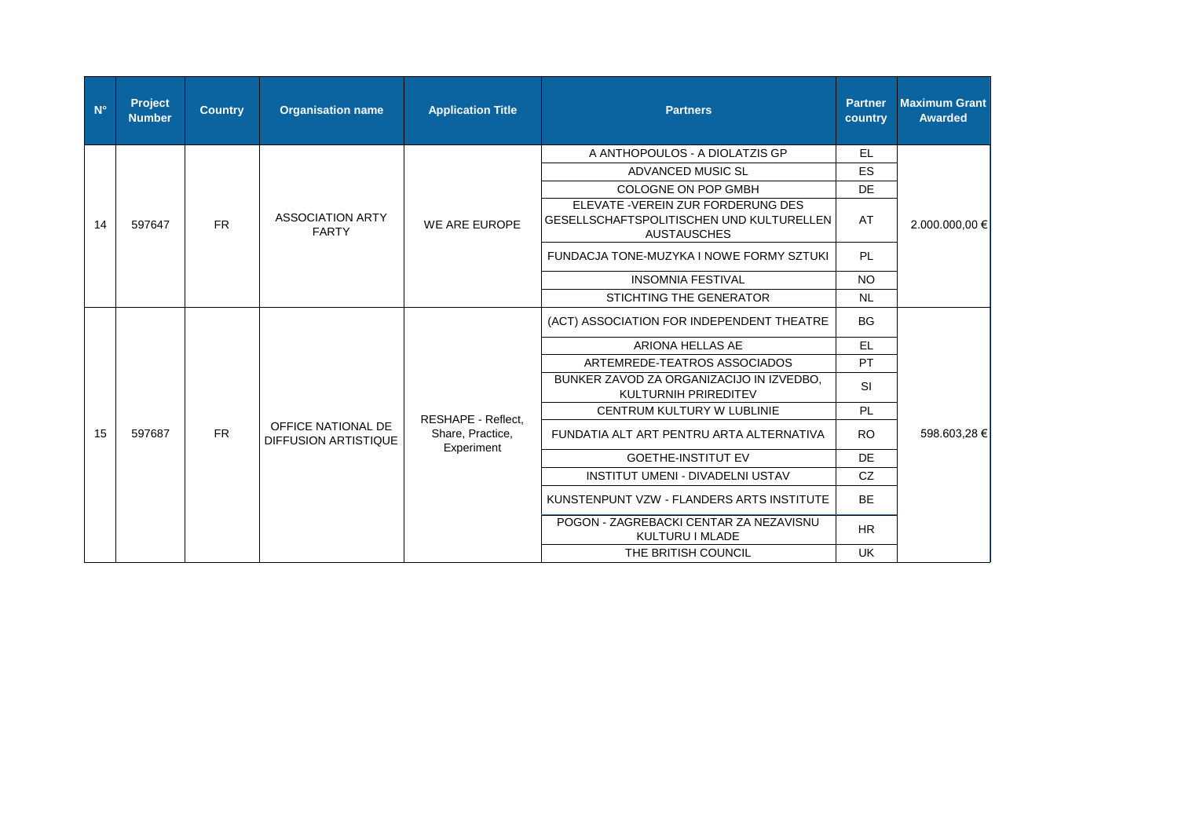| $N^{\circ}$ | <b>Project</b><br><b>Number</b> | <b>Country</b> | <b>Organisation name</b>                          | <b>Application Title</b>                             | <b>Partners</b>                                                                                      | <b>Partner</b><br>country                                 | <b>Maximum Grant</b><br><b>Awarded</b> |
|-------------|---------------------------------|----------------|---------------------------------------------------|------------------------------------------------------|------------------------------------------------------------------------------------------------------|-----------------------------------------------------------|----------------------------------------|
|             |                                 |                |                                                   |                                                      | A ANTHOPOULOS - A DIOLATZIS GP                                                                       | EL                                                        |                                        |
|             |                                 |                |                                                   |                                                      | ADVANCED MUSIC SL                                                                                    | ES                                                        |                                        |
|             |                                 |                |                                                   |                                                      | <b>COLOGNE ON POP GMBH</b>                                                                           | DE                                                        |                                        |
| 14          | 597647                          | <b>FR</b>      | <b>ASSOCIATION ARTY</b><br><b>FARTY</b>           | WE ARE EUROPE                                        | ELEVATE - VEREIN ZUR FORDERUNG DES<br>GESELLSCHAFTSPOLITISCHEN UND KULTURELLEN<br><b>AUSTAUSCHES</b> | AT                                                        | 2.000.000,00 €                         |
|             |                                 |                |                                                   |                                                      | FUNDACJA TONE-MUZYKA I NOWE FORMY SZTUKI                                                             | PL                                                        |                                        |
|             |                                 |                |                                                   |                                                      | <b>INSOMNIA FESTIVAL</b>                                                                             | <b>NO</b>                                                 |                                        |
|             |                                 |                |                                                   |                                                      | STICHTING THE GENERATOR                                                                              | <b>NL</b>                                                 |                                        |
|             |                                 |                |                                                   |                                                      | (ACT) ASSOCIATION FOR INDEPENDENT THEATRE                                                            | <b>BG</b>                                                 |                                        |
|             |                                 |                |                                                   |                                                      | ARIONA HELLAS AE                                                                                     | <b>EL</b>                                                 |                                        |
|             |                                 |                |                                                   |                                                      | ARTEMREDE-TEATROS ASSOCIADOS                                                                         | PT                                                        |                                        |
|             |                                 |                |                                                   |                                                      | BUNKER ZAVOD ZA ORGANIZACIJO IN IZVEDBO.<br><b>KULTURNIH PRIREDITEV</b>                              | <b>SI</b>                                                 |                                        |
|             |                                 |                |                                                   |                                                      | <b>CENTRUM KULTURY W LUBLINIE</b>                                                                    | PL                                                        |                                        |
| 15          | 597687                          | FR.            | OFFICE NATIONAL DE<br><b>DIFFUSION ARTISTIQUE</b> | RESHAPE - Reflect,<br>Share, Practice,<br>Experiment | FUNDATIA ALT ART PENTRU ARTA ALTERNATIVA                                                             | <b>RO</b>                                                 | 598.603,28 €                           |
|             |                                 |                |                                                   |                                                      | <b>GOETHE-INSTITUT EV</b>                                                                            | DE                                                        |                                        |
|             |                                 |                |                                                   |                                                      | <b>INSTITUT UMENI - DIVADELNI USTAV</b>                                                              | CZ                                                        |                                        |
|             |                                 |                |                                                   |                                                      | KUNSTENPUNT VZW - FLANDERS ARTS INSTITUTE                                                            | <b>BE</b>                                                 |                                        |
|             |                                 |                |                                                   |                                                      |                                                                                                      | POGON - ZAGREBACKI CENTAR ZA NEZAVISNU<br>KULTURU I MLADE | <b>HR</b>                              |
|             |                                 |                |                                                   |                                                      | THE BRITISH COUNCIL                                                                                  | <b>UK</b>                                                 |                                        |